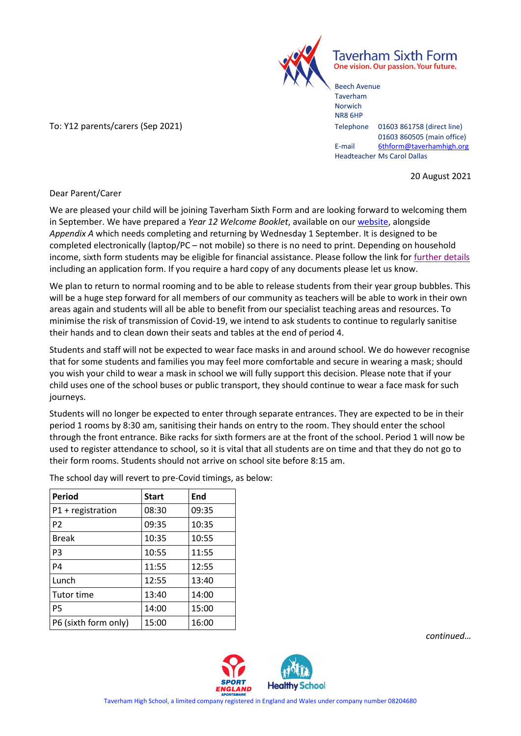

Taverham Sixth Form One vision. Our passion. Your future.

Beech Avenue Taverham Norwich NR8 6HP

01603 860505 (main office) E-mail [6thform@taverhamhigh.org](mailto:6thform@taverhamhigh.org) Headteacher Ms Carol Dallas

20 August 2021

To: Y12 parents/carers (Sep 2021) Telephone 01603 861758 (direct line)

Dear Parent/Carer

We are pleased your child will be joining Taverham Sixth Form and are looking forward to welcoming them in September. We have prepared a *Year 12 Welcome Booklet*, available on ou[r website,](https://www.taverhamhigh.norfolk.sch.uk/sixth-form-home/sixth-form-welcome) alongside *Appendix A* which needs completing and returning by Wednesday 1 September. It is designed to be completed electronically (laptop/PC – not mobile) so there is no need to print. Depending on household income, sixth form students may be eligible for financial assistance. Please follow the link for [further details](https://www.taverhamhigh.norfolk.sch.uk/sixth-form-home/post-16-bursary) including an application form. If you require a hard copy of any documents please let us know.

We plan to return to normal rooming and to be able to release students from their year group bubbles. This will be a huge step forward for all members of our community as teachers will be able to work in their own areas again and students will all be able to benefit from our specialist teaching areas and resources. To minimise the risk of transmission of Covid-19, we intend to ask students to continue to regularly sanitise their hands and to clean down their seats and tables at the end of period 4.

Students and staff will not be expected to wear face masks in and around school. We do however recognise that for some students and families you may feel more comfortable and secure in wearing a mask; should you wish your child to wear a mask in school we will fully support this decision. Please note that if your child uses one of the school buses or public transport, they should continue to wear a face mask for such journeys.

Students will no longer be expected to enter through separate entrances. They are expected to be in their period 1 rooms by 8:30 am, sanitising their hands on entry to the room. They should enter the school through the front entrance. Bike racks for sixth formers are at the front of the school. Period 1 will now be used to register attendance to school, so it is vital that all students are on time and that they do not go to their form rooms. Students should not arrive on school site before 8:15 am.

| <b>Period</b>        | <b>Start</b> | End   |
|----------------------|--------------|-------|
| $P1 +$ registration  | 08:30        | 09:35 |
| P <sub>2</sub>       | 09:35        | 10:35 |
| <b>Break</b>         | 10:35        | 10:55 |
| P <sub>3</sub>       | 10:55        | 11:55 |
| P <sub>4</sub>       | 11:55        | 12:55 |
| Lunch                | 12:55        | 13:40 |
| Tutor time           | 13:40        | 14:00 |
| <b>P5</b>            | 14:00        | 15:00 |
| P6 (sixth form only) | 15:00        | 16:00 |

The school day will revert to pre-Covid timings, as below:

*continued…*